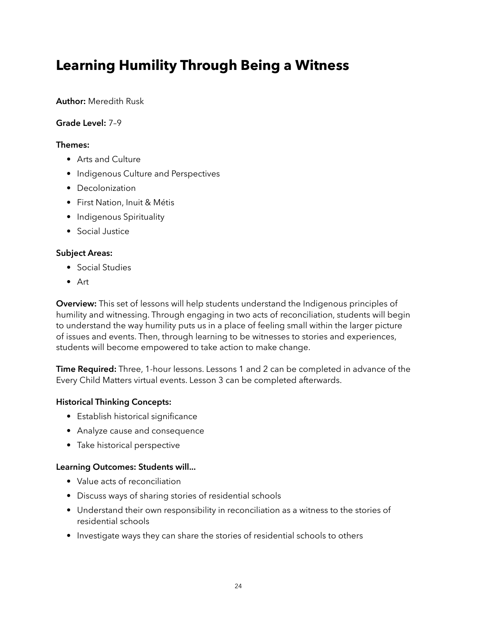# **Learning Humility Through Being a Witness**

### **Author:** Meredith Rusk

#### **Grade Level:** 7–9

#### **Themes:**

- Arts and Culture
- Indigenous Culture and Perspectives
- Decolonization
- First Nation, Inuit & Métis
- Indigenous Spirituality
- Social Justice

### **Subject Areas:**

- Social Studies
- Art

**Overview:** This set of lessons will help students understand the Indigenous principles of humility and witnessing. Through engaging in two acts of reconciliation, students will begin to understand the way humility puts us in a place of feeling small within the larger picture of issues and events. Then, through learning to be witnesses to stories and experiences, students will become empowered to take action to make change.

**Time Required:** Three, 1-hour lessons. Lessons 1 and 2 can be completed in advance of the Every Child Matters virtual events. Lesson 3 can be completed afterwards.

### **Historical Thinking Concepts:**

- Establish historical significance
- Analyze cause and consequence
- Take historical perspective

### **Learning Outcomes: Students will...**

- Value acts of reconciliation
- Discuss ways of sharing stories of residential schools
- Understand their own responsibility in reconciliation as a witness to the stories of residential schools
- Investigate ways they can share the stories of residential schools to others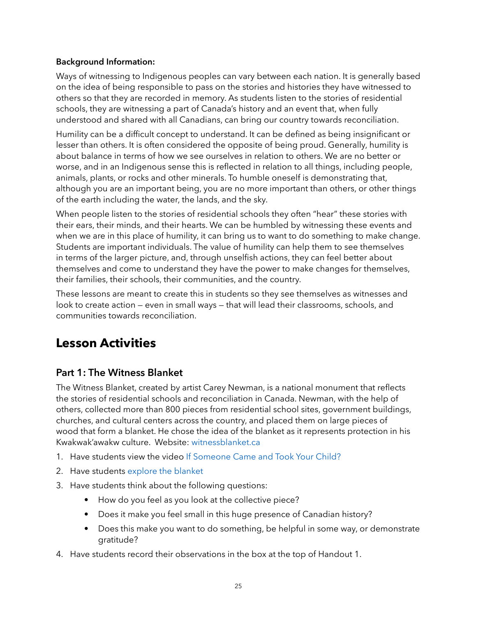### **Background Information:**

Ways of witnessing to Indigenous peoples can vary between each nation. It is generally based on the idea of being responsible to pass on the stories and histories they have witnessed to others so that they are recorded in memory. As students listen to the stories of residential schools, they are witnessing a part of Canada's history and an event that, when fully understood and shared with all Canadians, can bring our country towards reconciliation.

Humility can be a difficult concept to understand. It can be defined as being insignificant or lesser than others. It is often considered the opposite of being proud. Generally, humility is about balance in terms of how we see ourselves in relation to others. We are no better or worse, and in an Indigenous sense this is reflected in relation to all things, including people, animals, plants, or rocks and other minerals. To humble oneself is demonstrating that, although you are an important being, you are no more important than others, or other things of the earth including the water, the lands, and the sky.

When people listen to the stories of residential schools they often "hear" these stories with their ears, their minds, and their hearts. We can be humbled by witnessing these events and when we are in this place of humility, it can bring us to want to do something to make change. Students are important individuals. The value of humility can help them to see themselves in terms of the larger picture, and, through unselfish actions, they can feel better about themselves and come to understand they have the power to make changes for themselves, their families, their schools, their communities, and the country.

These lessons are meant to create this in students so they see themselves as witnesses and look to create action — even in small ways — that will lead their classrooms, schools, and communities towards reconciliation.

## **Lesson Activities**

### **Part 1: The Witness Blanket**

The Witness Blanket, created by artist Carey Newman, is a national monument that reflects the stories of residential schools and reconciliation in Canada. Newman, with the help of others, collected more than 800 pieces from residential school sites, government buildings, churches, and cultural centers across the country, and placed them on large pieces of wood that form a blanket. He chose the idea of the blanket as it represents protection in his Kwakwak'awakw culture. Website: [witnessblanket.ca](http://witnessblanket.ca)

- 1. Have students view the video [If Someone Came and Took Your Child?](https://vimeo.com/132158736)
- 2. Have students [explore the blanket](http://witnessblanket.ca/blanket/)
- 3. Have students think about the following questions:
	- How do you feel as you look at the collective piece?
	- Does it make you feel small in this huge presence of Canadian history?
	- Does this make you want to do something, be helpful in some way, or demonstrate gratitude?
- 4. Have students record their observations in the box at the top of Handout 1.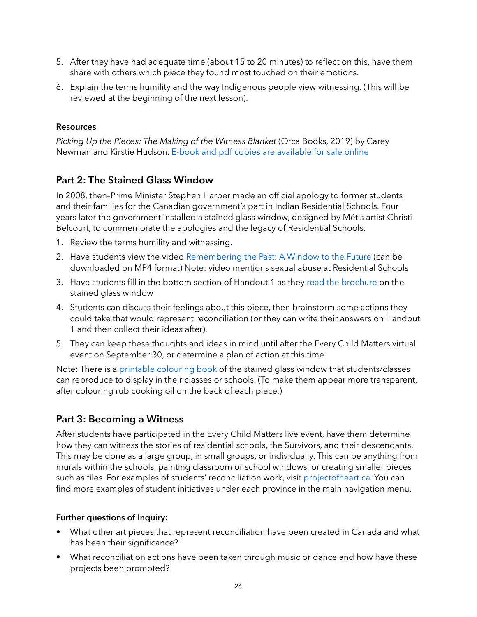- 5. After they have had adequate time (about 15 to 20 minutes) to reflect on this, have them share with others which piece they found most touched on their emotions.
- 6. Explain the terms humility and the way Indigenous people view witnessing. (This will be reviewed at the beginning of the next lesson).

### **Resources**

*Picking Up the Pieces: The Making of the Witness Blanket* (Orca Books, 2019) by Carey Newman and Kirstie Hudson. [E-book and pdf copies are available for sale online](https://www.orcabook.com/Picking-Up-the-Pieces-P4319.aspx)

## **Part 2: The Stained Glass Window**

In 2008, then–Prime Minister Stephen Harper made an official apology to former students and their families for the Canadian government's part in Indian Residential Schools. Four years later the government installed a stained glass window, designed by Métis artist Christi Belcourt, to commemorate the apologies and the legacy of Residential Schools.

- 1. Review the terms humility and witnessing.
- 2. Have students view the video [Remembering the Past: A Window to the Future](https://www.rcaanc-cirnac.gc.ca/eng/1368628725613/1571583423743) (can be downloaded on MP4 format) Note: video mentions sexual abuse at Residential Schools
- 3. Have students fill in the bottom section of Handout 1 as they [read the brochure](https://www.rcaanc-cirnac.gc.ca/eng/1354805080035/1571583169450) on the stained glass window
- 4. Students can discuss their feelings about this piece, then brainstorm some actions they could take that would represent reconciliation (or they can write their answers on Handout 1 and then collect their ideas after).
- 5. They can keep these thoughts and ideas in mind until after the Every Child Matters virtual event on September 30, or determine a plan of action at this time.

Note: There is a [printable colouring book](https://www.rcaanc-cirnac.gc.ca/eng/1415375882354/1534960147355) of the stained glass window that students/classes can reproduce to display in their classes or schools. (To make them appear more transparent, after colouring rub cooking oil on the back of each piece.)

### **Part 3: Becoming a Witness**

After students have participated in the Every Child Matters live event, have them determine how they can witness the stories of residential schools, the Survivors, and their descendants. This may be done as a large group, in small groups, or individually. This can be anything from murals within the schools, painting classroom or school windows, or creating smaller pieces such as tiles. For examples of students' reconciliation work, visit <projectofheart.ca>. You can find more examples of student initiatives under each province in the main navigation menu.

### **Further questions of Inquiry:**

- What other art pieces that represent reconciliation have been created in Canada and what has been their significance?
- What reconciliation actions have been taken through music or dance and how have these projects been promoted?